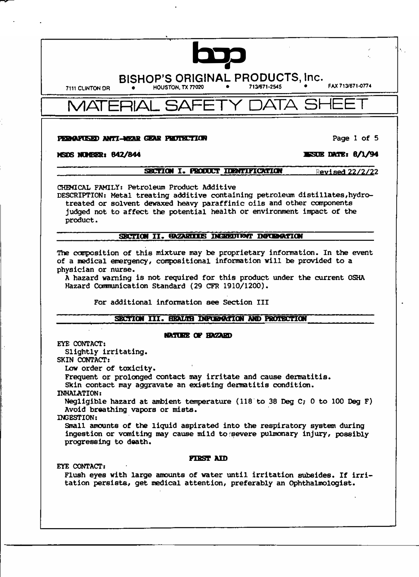**BISHOP'S ORIGINAL PRODUCTS, Inc.** HOUSTON, TX 77020

7111 CLINTON DR

713/671-2545

FAX 713/671-0774

ATA SI MAT

### PERGYUSED ANTI-NEAR GEAR PHOTECTION

**ESUE DATE: 8/1/94** 

# NSDS NULER: 842/844

#### SECTION I. PRODUCT IDENTIFICATION Revised 22/2/22

CHEMICAL FAMILY: Petroleum Product Additive

DESCRIPTION: Metal treating additive containing petroleum distillates, hydrotreated or solvent dewaxed heavy paraffinic oils and other components judged not to affect the potential health or environment impact of the product.

## SECTION II. GAZARITIS INERGUIENT INFORMATION

The composition of this mixture may be proprietary information. In the event of a medical emergency, compositional information will be provided to a physician or nurse.

A hazard warning is not required for this product under the current OSHA Hazard Communication Standard (29 CFR 1910/1200).

For additional information see Section III

# SECTION III. HEALTH INPURATION AND PROTECTION

## **NATURE OF HAZARD**

EYE CONTACT:

Slightly irritating.

SKIN CONTACT:

Low order of toxicity.

Frequent or prolonged contact may irritate and cause dermatitis.

Skin contact may acquavate an existing dermatitis condition.

**INHALATION:** 

Negligible hazard at ambient temperature (118 to 38 Deg C; 0 to 100 Deg F) Avoid breathing vapors or mists.

INGESTION:

Small amounts of the liquid aspirated into the respiratory system during ingestion or vomiting may cause mild to severe pulmonary injury, possibly progressing to death.

# **FIRST AID**

EYE CONTACT:

Flush eyes with large amounts of water until irritation subsides. If irritation persists, get medical attention, preferably an Ophthalmologist.

Page 1 of 5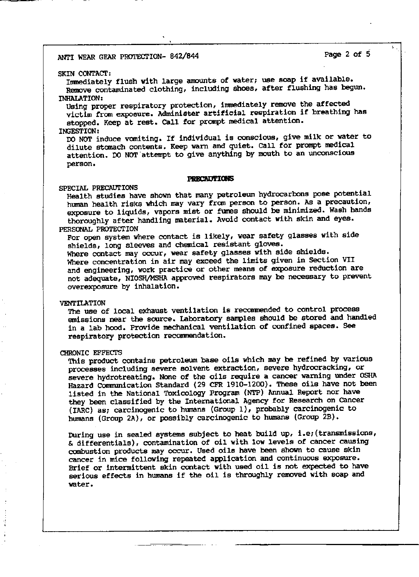#### SKIN CONTACT:

Inmediately flush with large amounts of water; use soap if available. Remove contaminated clothing, including shoes, after flushing has begun. INHALATION:

Using proper respiratory protection, inmediately remove the affected victim from exposure. Administer artificial respiration if breathing has stopped. Keep at rest. Call for prompt medical attention.

### INGESTION:

DO NOT induce vaniting. If individual is conscious, give milk or water to dilute stanach contents. Keep warn and quiet. Call for prompt medical attention. DO NOT 'attempt to give anything by mouth to an unconscious person.

### **PRECAUTIONS**

# SPECIAL PRECAUTIONS

Health studies have shown that many petroleum hydrocarbons pose potential human health risks which may vary from person to person. As a precaution, exposure to liquids, vapors mist or fumes should be minimized. Wash hands thoroughly after handling material. Avoid contact with skin and eyes. PERSONAL PROTECTION

For open system where contact is likely, wear safety glasses with side shields, long sleeves and chemical resistant gloves.

Where contact may occur, wear safety glasses with side shields. Where concentration in air may exceed the limits given in Section VII and engineering, work practice or other means of exposure reduction are not adequate, NIOSH/MSHA approved respirators may be necessary to prevent overexposure by inhalation.

### **VENTILATION**

The use of local exhaust ventilation is recomnended to control process emissions near the source. Laboratory sanples should be stored and handled in a lab hood. Provide mechanical ventilation of confined spaces. see respiratory protection reconmendation.

#### CHRONIC EFFECTS

This product contains petroleum base oils which may be refined by various processes including severe solvent extraction, severe hydrocracking, or severe hydrotreating. None of the oils require a cancer warning under OSHA Hazard Communication Standard (29 CFR 1910-1200). These oils have not been listed in the National Toxicology Program (NTP) Annual Report nor have they been classified by the International Agency for Research on cancer {IARC) as; carcinogenic to humans (Group 1), probably carcinogenic to humans (Group 2A), or possibly carcinogenic to humans (Group 2B).

During use in sealed systems subject to heat build up, i.e; (transmissions, & differentials), contamination of oil with low levels of cancer causing canbustion products may occur. Used oils have been shown to cause skin cancer in mice following repeated application and continuous exposure. Brief or intermittent skin contact with used oil is not expected to have serious effects in humans if the oil is throughly removed with soap and water.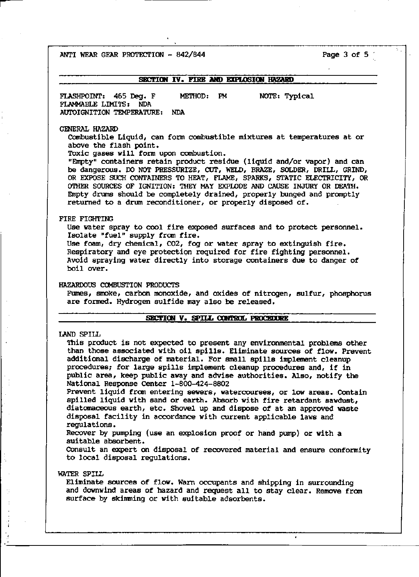ANTI WEAR GEAR PROTECTION  $-842/844$  Page 3 of 5

# **SECTION IV. FIRE AND EXPLOSION HAZARD**

FLASHPOINT: 465 Deg. F ME'IHOD: PM NOTE: Typical FLAMMABLE LIMITS: NDA AlJl'OIGNITION TEMPERATURE: NDA

#### GENERAL HAZARD

canbustible Liquid, can form combustible mixtures at temperatures at or above the flash point.

Toxic gases will form upon canbustion.

"Empty" containers retain product residue (liquid and/or vapor) and can be dangerous. DO NOT PRESSURIZE, CUT, WELD, BRAZE, SOLDER, DRILL, GRIND, OR EXPOSE SUCH CONTAINERS TO HEAT, FLAME, SPARKS, STATIC ELECTRICITY, OR OTHER SOURCES OF IGNITION: THEY MAY EXPLODE AND CAUSE INJURY OR DEATH. Empty drums should be completely drained, properly bunged and pranptly returned to a drum reconditioner, or properly disposed of.

### FIRE FIGHTING

Use water spray to cool fire exposed surfaces and to protect personnel. Isolate "fuel" supply from fire.

Use foam, dry chemical, CO2, fog or water spray to extinguish fire. Respiratory and eye protection required for fire fighting personnel. Avoid spraying water directly into storage containers due to danger of boil over.

### HAZARDOUS COMBUSTION PRODUCTS

Fumes, smoke, carbon monoxide, and oxides of nitrogen, sulfur, phosphorus are formed. Hydrogen sulfide may also be released.

### SBCTION V. SPILL CONTROL PROCEDURE

### LAND SPILL

This product is not expected to present any environmental problems other than those associated with oil spills. Eliminate sources of flow. Prevent additional discharge of material. For small spills implenent cleanup procedures; for large spills implement cleanup procedures and, if in public area, keep public away and advise authorities. Also, notify the National Response Center 1-800-424-8802

Prevent liquid from entering sewers, watercourses, or low areas. Contain spilled liquid with sand or earth. Absorb with fire retardant sawdust, diatomaceous earth, etc. Shovel up and dispose of at an approved waste disposal facility in accordance with current applicable laws and regulations.

Recover by pumping (use an explosion proof or hand pump) or with a suitable absorbent.

COnsult an expert on disposal of recovered material and ensure conformity to local disposal regulations.

## WATER SPILL

Eliminate sources of flow. warn occupants and shipping in surrounding and downwind areas of hazard and request all to stay clear. Remove fran surface by skimming or with suitable adsorbents.

 $\cdot$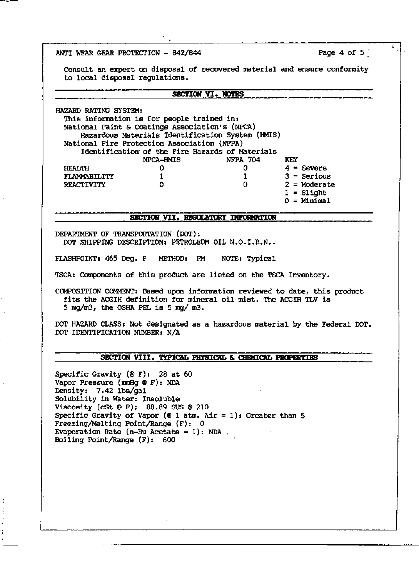ANTI WEAR GEAR PROTECTION - 842/844

Page 4 of 5

Consult an expert on disposal of recovered material and ensure conformity to local disposal regulations.

## SECTION VI. NOTES

HAZARD RATING SYSTEM: This information is for people trained in: National Paint & Coatings Association's (NPCA) Hazardous Materials Identification System (HMIS) National Fire Protection Association (NFPA) Identification of the Fire Hazards of Materials **NFPA 704** NPCA-HMIS **KEY HEALTH** 0 0  $4 =$  Severe FLAMMABILITY  $3 =$  Serious  $\mathbf{1}$  $\mathbf{1}$ **REACTIVITY** 0 0  $2 = \text{Modern}$  $1 = S1$ ight  $0 =$  Minimal.

# SECTION VII. REGULATORY INFORMATION

DEPARTMENT OF TRANSPORTATION (DOT): DOT SHIPPING DESCRIPTION: PETROLEUM OIL N.O.I.B.N..

FLASHPOINT: 465 Deg. F METHOD: PM NOTE: Typical

TSCA: Components of this product are listed on the TSCA Inventory.

COMPOSITION COMMENT: Based upon information reviewed to date, this product fits the ACGIH definition for mineral oil mist. The ACGIH TLV is 5 mg/m3, the OSHA PEL is 5 mg/ m3.

DOT HAZARD CLASS: Not designated as a hazardous material by the Federal DOT. DOT IDENTIFICATION NUMBER: N/A

# SECTION VIII. TYPICAL PHYSICAL & CHEMICAL PROPERTIES

Specific Gravity ( $\mathcal{E}$  F): 28 at 60 Vapor Pressure (mmHg @ F): NDA Density: 7.42 lbs/gal Solubility in Water: Insoluble Viscosity (cSt  $@F$ ); 88.89 SUS  $@210$ Specific Gravity of Vapor (@ 1 atm. Air = 1): Greater than 5 Freezing/Melting Point/Range (F): 0 Evaporation Rate  $(n-Bu \text{ Acetate} = 1)$ : NDA Boiling Point/Range (F): 600